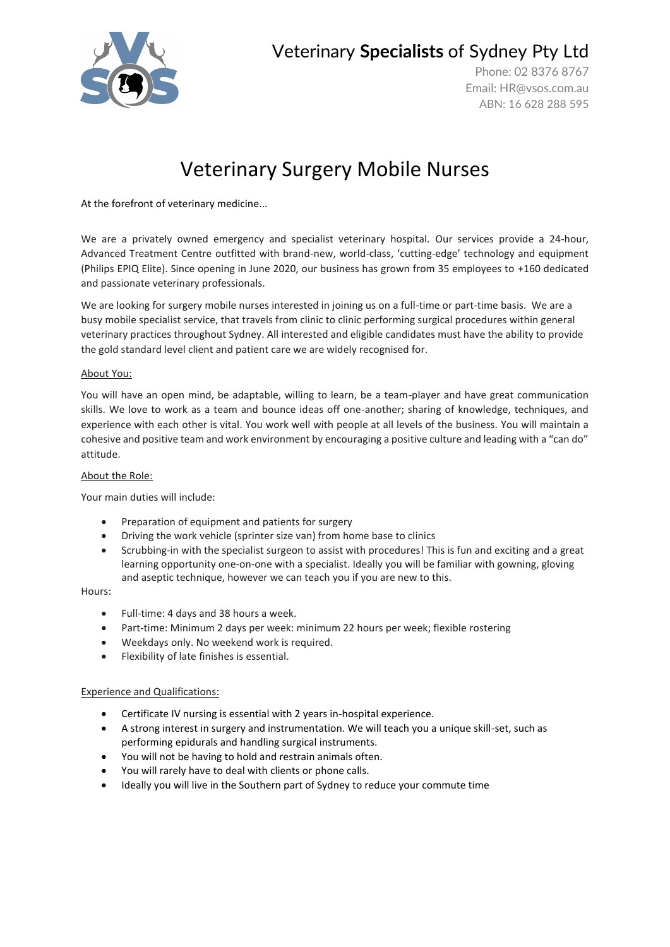

Veterinary **Specialists** of Sydney Pty Ltd

Phone: 02 8376 8767 Email: [HR@vsos.com.au](mailto:HR@vsos.com.au) ABN: 16 628 288 595

# Veterinary Surgery Mobile Nurses

At the forefront of veterinary medicine...

We are a privately owned emergency and specialist veterinary hospital. Our services provide a 24-hour, Advanced Treatment Centre outfitted with brand-new, world-class, 'cutting-edge' technology and equipment (Philips EPIQ Elite). Since opening in June 2020, our business has grown from 35 employees to +160 dedicated and passionate veterinary professionals.

We are looking for surgery mobile nurses interested in joining us on a full-time or part-time basis. We are a busy mobile specialist service, that travels from clinic to clinic performing surgical procedures within general veterinary practices throughout Sydney. All interested and eligible candidates must have the ability to provide the gold standard level client and patient care we are widely recognised for.

#### About You:

You will have an open mind, be adaptable, willing to learn, be a team-player and have great communication skills. We love to work as a team and bounce ideas off one-another; sharing of knowledge, techniques, and experience with each other is vital. You work well with people at all levels of the business. You will maintain a cohesive and positive team and work environment by encouraging a positive culture and leading with a "can do" attitude.

#### About the Role:

Your main duties will include:

- Preparation of equipment and patients for surgery
- Driving the work vehicle (sprinter size van) from home base to clinics
- Scrubbing-in with the specialist surgeon to assist with procedures! This is fun and exciting and a great learning opportunity one-on-one with a specialist. Ideally you will be familiar with gowning, gloving and aseptic technique, however we can teach you if you are new to this.

#### Hours:

- Full-time: 4 days and 38 hours a week.
- Part-time: Minimum 2 days per week: minimum 22 hours per week; flexible rostering
- Weekdays only. No weekend work is required.
- Flexibility of late finishes is essential.

#### Experience and Qualifications:

- Certificate IV nursing is essential with 2 years in-hospital experience.
- A strong interest in surgery and instrumentation. We will teach you a unique skill-set, such as performing epidurals and handling surgical instruments.
- You will not be having to hold and restrain animals often.
- You will rarely have to deal with clients or phone calls.
- Ideally you will live in the Southern part of Sydney to reduce your commute time